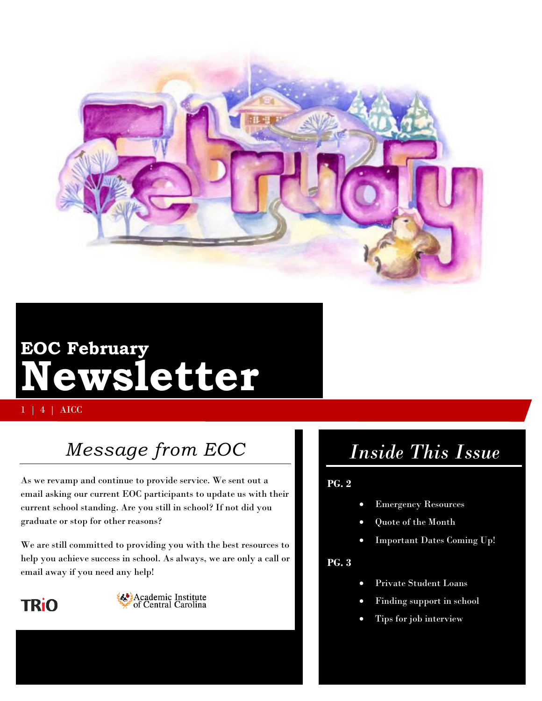

# **EOC February Newsletter**

1 | 4 | AICC

# *Message from EOC*

As we revamp and continue to provide service. We sent out a email asking our current EOC participants to update us with their current school standing. Are you still in school? If not did you graduate or stop for other reasons?

We are still committed to providing you with the best resources to help you achieve success in school. As always, we are only a call or email away if you need any help!





# *Inside This Issue*

### **PG. 2**

- Emergency Resources
- Quote of the Month
- Important Dates Coming Up!

#### **PG. 3**

- Private Student Loans
- Finding support in school
- Tips for job interview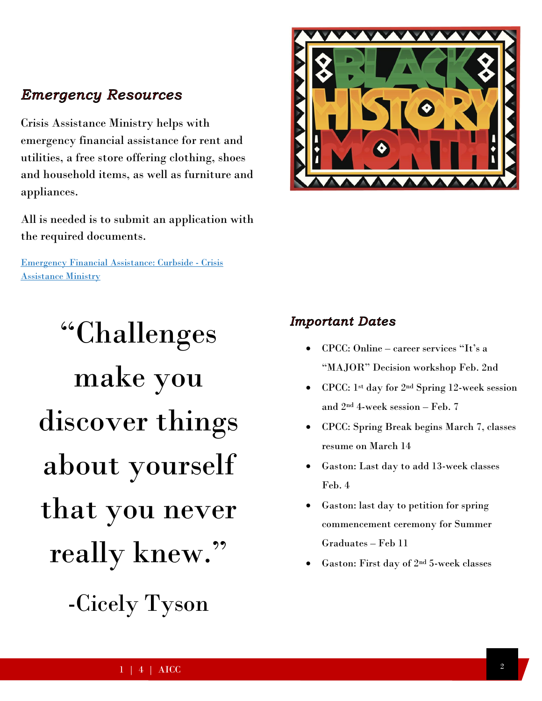### **Emergency Resources**

Crisis Assistance Ministry helps with emergency financial assistance for rent and utilities, a free store offering clothing, shoes and household items, as well as furniture and appliances.

All is needed is to submit an application with the required documents.

[Emergency Financial Assistance: Curbside -](https://www.crisisassistance.org/programs/basic-needs/emergency-financial-assistance/) Crisis [Assistance Ministry](https://www.crisisassistance.org/programs/basic-needs/emergency-financial-assistance/)

# "Challenges make you discover things about yourself that you never really knew."

-Cicely Tyson



### **Important Dates**

- CPCC: Online career services "It's a "MAJOR" Decision workshop Feb. 2nd
- CPCC: 1<sup>st</sup> day for 2<sup>nd</sup> Spring 12-week session and  $2<sup>nd</sup>$  4-week session – Feb. 7
- CPCC: Spring Break begins March 7, classes resume on March 14
- Gaston: Last day to add 13-week classes Feb. 4
- Gaston: last day to petition for spring commencement ceremony for Summer Graduates – Feb 11
- Gaston: First day of 2nd 5-week classes